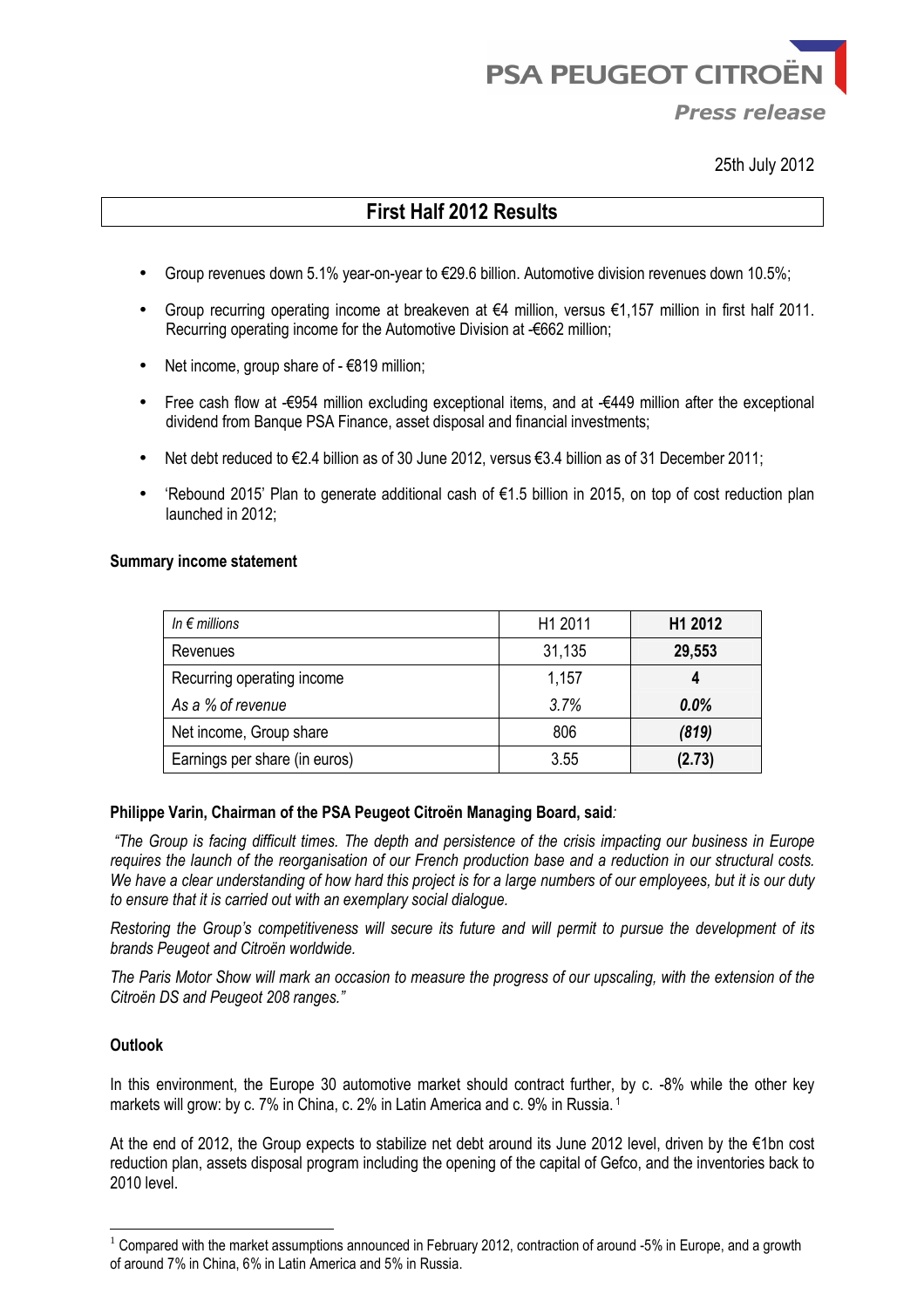**PSA PEUGEOT CITRO** 

*Press release*

25th July 2012

# **First Half 2012 Results**

- Group revenues down 5.1% year-on-year to €29.6 billion. Automotive division revenues down 10.5%;
- Group recurring operating income at breakeven at €4 million, versus €1,157 million in first half 2011. Recurring operating income for the Automotive Division at -€662 million;
- Net income, group share of  $-6819$  million;
- Free cash flow at -€954 million excluding exceptional items, and at -€449 million after the exceptional dividend from Banque PSA Finance, asset disposal and financial investments;
- Net debt reduced to €2.4 billion as of 30 June 2012, versus €3.4 billion as of 31 December 2011;
- 'Rebound 2015' Plan to generate additional cash of €1.5 billion in 2015, on top of cost reduction plan launched in 2012;

#### **Summary income statement**

| In $\epsilon$ millions        | H1 2011 | H1 2012 |
|-------------------------------|---------|---------|
| Revenues                      | 31,135  | 29,553  |
| Recurring operating income    | 1,157   |         |
| As a % of revenue             | 3.7%    | 0.0%    |
| Net income, Group share       | 806     | (819)   |
| Earnings per share (in euros) | 3.55    | (2.73)  |

#### **Philippe Varin, Chairman of the PSA Peugeot Citroën Managing Board, said***:*

 *"The Group is facing difficult times. The depth and persistence of the crisis impacting our business in Europe requires the launch of the reorganisation of our French production base and a reduction in our structural costs. We have a clear understanding of how hard this project is for a large numbers of our employees, but it is our duty to ensure that it is carried out with an exemplary social dialogue.* 

*Restoring the Group's competitiveness will secure its future and will permit to pursue the development of its brands Peugeot and Citroën worldwide.* 

*The Paris Motor Show will mark an occasion to measure the progress of our upscaling, with the extension of the Citroën DS and Peugeot 208 ranges."* 

# **Outlook**

 $\overline{a}$ 

In this environment, the Europe 30 automotive market should contract further, by c. -8% while the other key markets will grow: by c. 7% in China, c. 2% in Latin America and c. 9% in Russia.<sup>1</sup> 

At the end of 2012, the Group expects to stabilize net debt around its June 2012 level, driven by the €1bn cost reduction plan, assets disposal program including the opening of the capital of Gefco, and the inventories back to 2010 level.

 $1$  Compared with the market assumptions announced in February 2012, contraction of around -5% in Europe, and a growth of around 7% in China, 6% in Latin America and 5% in Russia.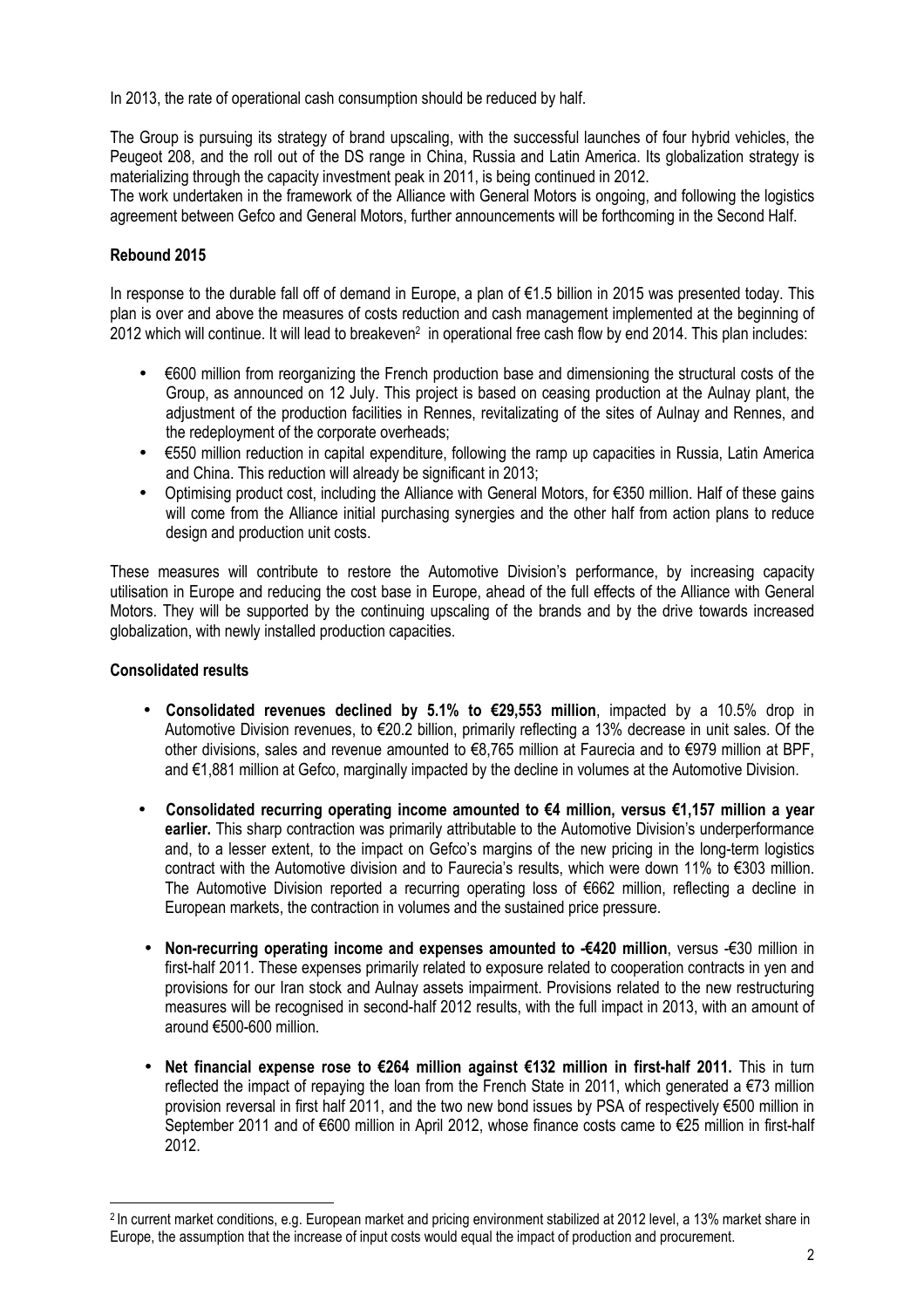In 2013, the rate of operational cash consumption should be reduced by half.

The Group is pursuing its strategy of brand upscaling, with the successful launches of four hybrid vehicles, the Peugeot 208, and the roll out of the DS range in China, Russia and Latin America. Its globalization strategy is materializing through the capacity investment peak in 2011, is being continued in 2012.

The work undertaken in the framework of the Alliance with General Motors is ongoing, and following the logistics agreement between Gefco and General Motors, further announcements will be forthcoming in the Second Half.

# **Rebound 2015**

In response to the durable fall off of demand in Europe, a plan of €1.5 billion in 2015 was presented today. This plan is over and above the measures of costs reduction and cash management implemented at the beginning of 2012 which will continue. It will lead to breakeven<sup>2</sup> in operational free cash flow by end 2014. This plan includes:

- €600 million from reorganizing the French production base and dimensioning the structural costs of the Group, as announced on 12 July. This project is based on ceasing production at the Aulnay plant, the adjustment of the production facilities in Rennes, revitalizating of the sites of Aulnay and Rennes, and the redeployment of the corporate overheads;
- €550 million reduction in capital expenditure, following the ramp up capacities in Russia, Latin America and China. This reduction will already be significant in 2013;
- Optimising product cost, including the Alliance with General Motors, for €350 million. Half of these gains will come from the Alliance initial purchasing synergies and the other half from action plans to reduce design and production unit costs.

These measures will contribute to restore the Automotive Division's performance, by increasing capacity utilisation in Europe and reducing the cost base in Europe, ahead of the full effects of the Alliance with General Motors. They will be supported by the continuing upscaling of the brands and by the drive towards increased globalization, with newly installed production capacities.

# **Consolidated results**

 $\overline{\phantom{a}}$ 

- **Consolidated revenues declined by 5.1% to €29,553 million**, impacted by a 10.5% drop in Automotive Division revenues, to €20.2 billion, primarily reflecting a 13% decrease in unit sales. Of the other divisions, sales and revenue amounted to €8,765 million at Faurecia and to €979 million at BPF, and €1,881 million at Gefco, marginally impacted by the decline in volumes at the Automotive Division.
- **Consolidated recurring operating income amounted to €4 million, versus €1,157 million a year earlier.** This sharp contraction was primarily attributable to the Automotive Division's underperformance and, to a lesser extent, to the impact on Gefco's margins of the new pricing in the long-term logistics contract with the Automotive division and to Faurecia's results, which were down 11% to €303 million. The Automotive Division reported a recurring operating loss of €662 million, reflecting a decline in European markets, the contraction in volumes and the sustained price pressure.
- **Non-recurring operating income and expenses amounted to -€420 million**, versus -€30 million in first-half 2011. These expenses primarily related to exposure related to cooperation contracts in yen and provisions for our Iran stock and Aulnay assets impairment. Provisions related to the new restructuring measures will be recognised in second-half 2012 results, with the full impact in 2013, with an amount of around €500-600 million.
- **Net financial expense rose to €264 million against €132 million in first-half 2011.** This in turn reflected the impact of repaying the loan from the French State in 2011, which generated a  $\epsilon$ 73 million provision reversal in first half 2011, and the two new bond issues by PSA of respectively €500 million in September 2011 and of €600 million in April 2012, whose finance costs came to €25 million in first-half 2012.

<sup>&</sup>lt;sup>2</sup> In current market conditions, e.g. European market and pricing environment stabilized at 2012 level, a 13% market share in Europe, the assumption that the increase of input costs would equal the impact of production and procurement.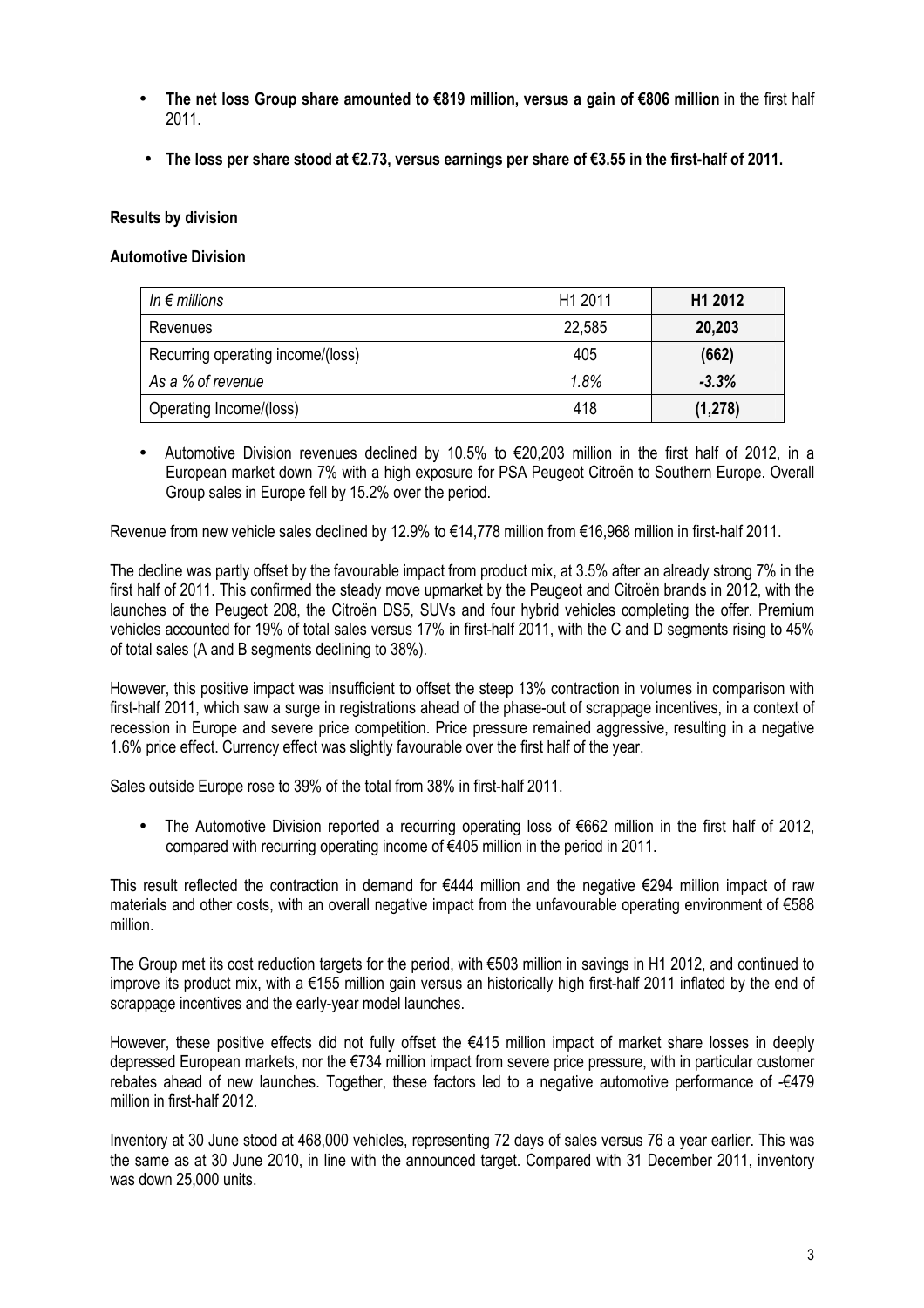- **The net loss Group share amounted to €819 million, versus a gain of €806 million** in the first half 2011.
- **The loss per share stood at €2.73, versus earnings per share of €3.55 in the first-half of 2011.**

### **Results by division**

### **Automotive Division**

| In $\epsilon$ millions            | H1 2011 | H <sub>1</sub> 2012 |
|-----------------------------------|---------|---------------------|
| Revenues                          | 22,585  | 20,203              |
| Recurring operating income/(loss) | 405     | (662)               |
| As a % of revenue                 | 1.8%    | $-3.3%$             |
| Operating Income/(loss)           | 418     | (1, 278)            |

• Automotive Division revenues declined by 10.5% to €20,203 million in the first half of 2012, in a European market down 7% with a high exposure for PSA Peugeot Citroën to Southern Europe. Overall Group sales in Europe fell by 15.2% over the period.

Revenue from new vehicle sales declined by 12.9% to €14,778 million from €16,968 million in first-half 2011.

The decline was partly offset by the favourable impact from product mix, at 3.5% after an already strong 7% in the first half of 2011. This confirmed the steady move upmarket by the Peugeot and Citroën brands in 2012, with the launches of the Peugeot 208, the Citroën DS5, SUVs and four hybrid vehicles completing the offer. Premium vehicles accounted for 19% of total sales versus 17% in first-half 2011, with the C and D segments rising to 45% of total sales (A and B segments declining to 38%).

However, this positive impact was insufficient to offset the steep 13% contraction in volumes in comparison with first-half 2011, which saw a surge in registrations ahead of the phase-out of scrappage incentives, in a context of recession in Europe and severe price competition. Price pressure remained aggressive, resulting in a negative 1.6% price effect. Currency effect was slightly favourable over the first half of the year.

Sales outside Europe rose to 39% of the total from 38% in first-half 2011.

• The Automotive Division reported a recurring operating loss of €662 million in the first half of 2012, compared with recurring operating income of €405 million in the period in 2011.

This result reflected the contraction in demand for €444 million and the negative €294 million impact of raw materials and other costs, with an overall negative impact from the unfavourable operating environment of €588 million.

The Group met its cost reduction targets for the period, with €503 million in savings in H1 2012, and continued to improve its product mix, with a €155 million gain versus an historically high first-half 2011 inflated by the end of scrappage incentives and the early-year model launches.

However, these positive effects did not fully offset the €415 million impact of market share losses in deeply depressed European markets, nor the €734 million impact from severe price pressure, with in particular customer rebates ahead of new launches. Together, these factors led to a negative automotive performance of €479 million in first-half 2012.

Inventory at 30 June stood at 468,000 vehicles, representing 72 days of sales versus 76 a year earlier. This was the same as at 30 June 2010, in line with the announced target. Compared with 31 December 2011, inventory was down 25,000 units.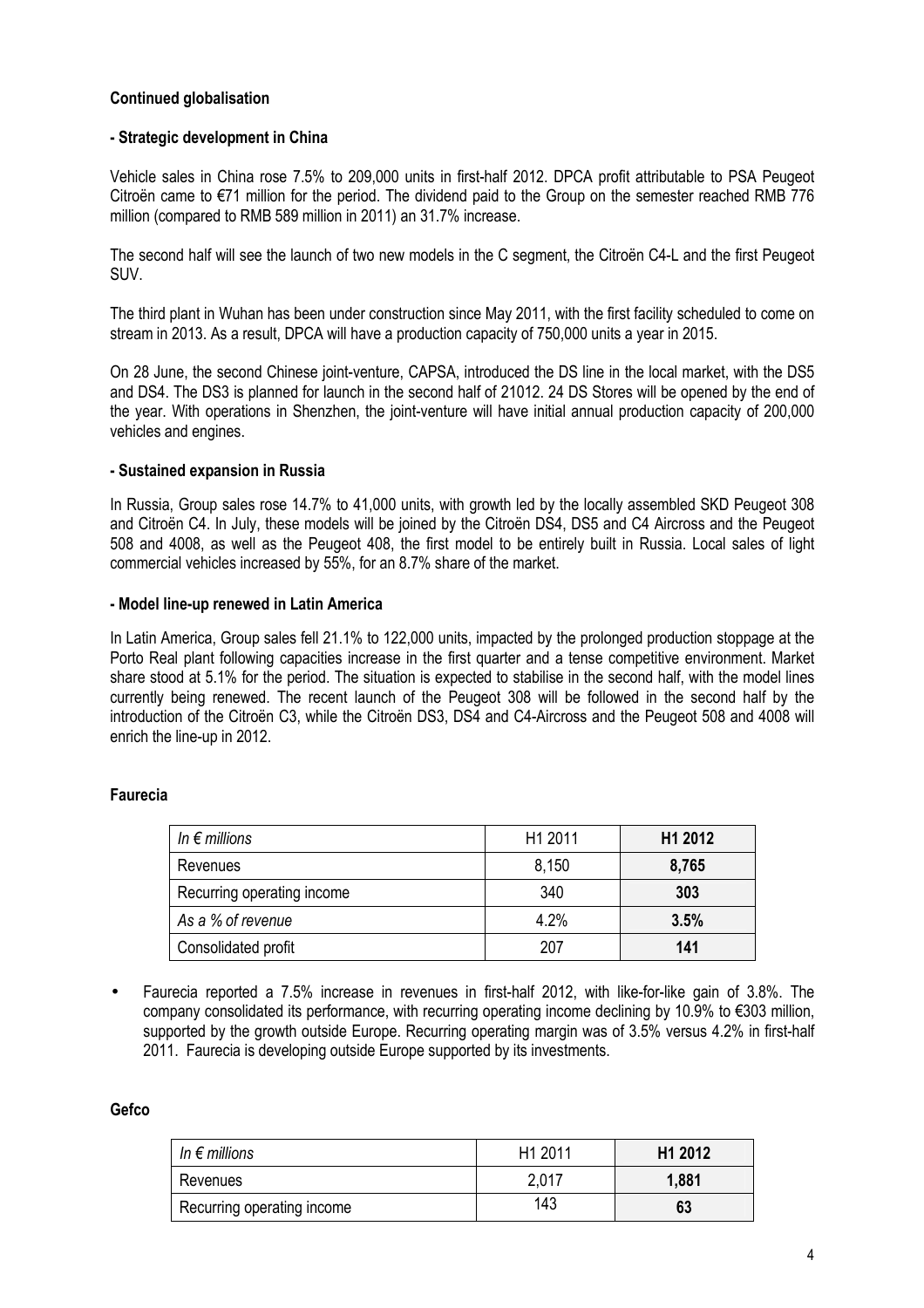# **Continued globalisation**

### **- Strategic development in China**

Vehicle sales in China rose 7.5% to 209,000 units in first-half 2012. DPCA profit attributable to PSA Peugeot Citroën came to €71 million for the period. The dividend paid to the Group on the semester reached RMB 776 million (compared to RMB 589 million in 2011) an 31.7% increase.

The second half will see the launch of two new models in the C segment, the Citroën C4-L and the first Peugeot SUV.

The third plant in Wuhan has been under construction since May 2011, with the first facility scheduled to come on stream in 2013. As a result, DPCA will have a production capacity of 750,000 units a year in 2015.

On 28 June, the second Chinese joint-venture, CAPSA, introduced the DS line in the local market, with the DS5 and DS4. The DS3 is planned for launch in the second half of 21012. 24 DS Stores will be opened by the end of the year. With operations in Shenzhen, the joint-venture will have initial annual production capacity of 200,000 vehicles and engines.

### **- Sustained expansion in Russia**

In Russia, Group sales rose 14.7% to 41,000 units, with growth led by the locally assembled SKD Peugeot 308 and Citroën C4. In July, these models will be joined by the Citroën DS4, DS5 and C4 Aircross and the Peugeot 508 and 4008, as well as the Peugeot 408, the first model to be entirely built in Russia. Local sales of light commercial vehicles increased by 55%, for an 8.7% share of the market.

### **- Model line-up renewed in Latin America**

In Latin America, Group sales fell 21.1% to 122,000 units, impacted by the prolonged production stoppage at the Porto Real plant following capacities increase in the first quarter and a tense competitive environment. Market share stood at 5.1% for the period. The situation is expected to stabilise in the second half, with the model lines currently being renewed. The recent launch of the Peugeot 308 will be followed in the second half by the introduction of the Citroën C3, while the Citroën DS3, DS4 and C4-Aircross and the Peugeot 508 and 4008 will enrich the line-up in 2012.

# **Faurecia**

| In $\epsilon$ millions     | H1 2011 | H1 2012 |
|----------------------------|---------|---------|
| Revenues                   | 8,150   | 8,765   |
| Recurring operating income | 340     | 303     |
| As a % of revenue          | 4.2%    | 3.5%    |
| Consolidated profit        | 207     | 141     |

• Faurecia reported a 7.5% increase in revenues in first-half 2012, with like-for-like gain of 3.8%. The company consolidated its performance, with recurring operating income declining by 10.9% to €303 million, supported by the growth outside Europe. Recurring operating margin was of 3.5% versus 4.2% in first-half 2011. Faurecia is developing outside Europe supported by its investments.

#### **Gefco**

| In $\epsilon$ millions     | H <sub>1</sub> 2011 | H <sub>1</sub> 2012 |
|----------------------------|---------------------|---------------------|
| Revenues                   | 2,017               | 1,881               |
| Recurring operating income | 143                 | 63                  |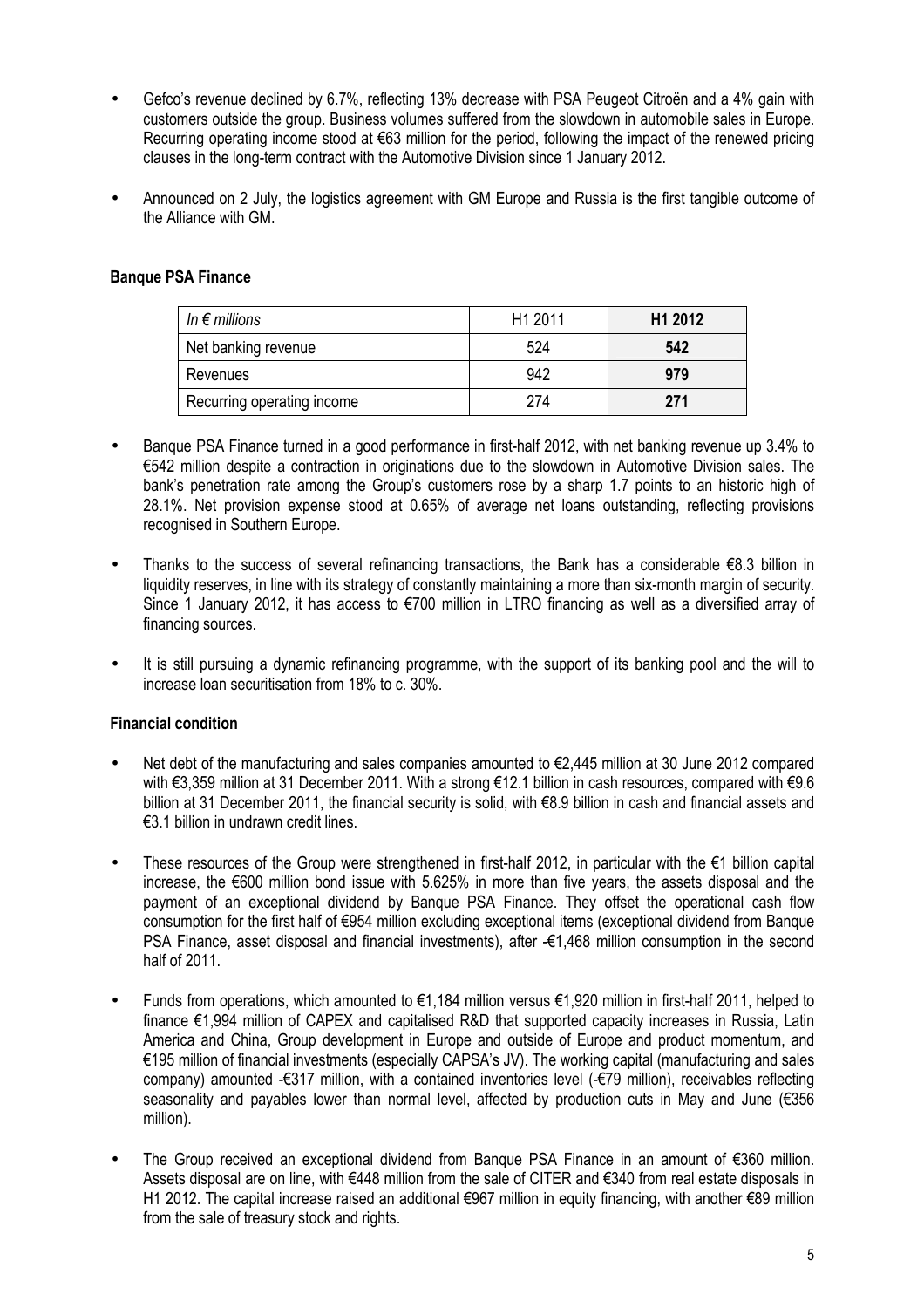- Gefco's revenue declined by 6.7%, reflecting 13% decrease with PSA Peugeot Citroën and a 4% gain with customers outside the group. Business volumes suffered from the slowdown in automobile sales in Europe. Recurring operating income stood at €63 million for the period, following the impact of the renewed pricing clauses in the long-term contract with the Automotive Division since 1 January 2012.
- Announced on 2 July, the logistics agreement with GM Europe and Russia is the first tangible outcome of the Alliance with GM.

# **Banque PSA Finance**

| In $\epsilon$ millions     | H <sub>1</sub> 2011 | H <sub>1</sub> 2012 |
|----------------------------|---------------------|---------------------|
| Net banking revenue        | 524                 | 542                 |
| Revenues                   | 942                 | 979                 |
| Recurring operating income | 274                 | 271                 |

- Banque PSA Finance turned in a good performance in first-half 2012, with net banking revenue up 3.4% to €542 million despite a contraction in originations due to the slowdown in Automotive Division sales. The bank's penetration rate among the Group's customers rose by a sharp 1.7 points to an historic high of 28.1%. Net provision expense stood at 0.65% of average net loans outstanding, reflecting provisions recognised in Southern Europe.
- Thanks to the success of several refinancing transactions, the Bank has a considerable  $\epsilon$ 8.3 billion in liquidity reserves, in line with its strategy of constantly maintaining a more than six-month margin of security. Since 1 January 2012, it has access to €700 million in LTRO financing as well as a diversified array of financing sources.
- It is still pursuing a dynamic refinancing programme, with the support of its banking pool and the will to increase loan securitisation from 18% to c. 30%.

#### **Financial condition**

- Net debt of the manufacturing and sales companies amounted to €2,445 million at 30 June 2012 compared with €3,359 million at 31 December 2011. With a strong €12.1 billion in cash resources, compared with €9.6 billion at 31 December 2011, the financial security is solid, with €8.9 billion in cash and financial assets and €3.1 billion in undrawn credit lines.
- These resources of the Group were strengthened in first-half 2012, in particular with the €1 billion capital increase, the €600 million bond issue with 5.625% in more than five years, the assets disposal and the payment of an exceptional dividend by Banque PSA Finance. They offset the operational cash flow consumption for the first half of €954 million excluding exceptional items (exceptional dividend from Banque PSA Finance, asset disposal and financial investments), after -€1,468 million consumption in the second half of 2011.
- Funds from operations, which amounted to €1,184 million versus €1,920 million in first-half 2011, helped to finance €1,994 million of CAPEX and capitalised R&D that supported capacity increases in Russia, Latin America and China, Group development in Europe and outside of Europe and product momentum, and €195 million of financial investments (especially CAPSA's JV). The working capital (manufacturing and sales company) amounted -€317 million, with a contained inventories level (-€79 million), receivables reflecting seasonality and payables lower than normal level, affected by production cuts in May and June (€356 million).
- The Group received an exceptional dividend from Banque PSA Finance in an amount of €360 million. Assets disposal are on line, with €448 million from the sale of CITER and €340 from real estate disposals in H1 2012. The capital increase raised an additional €967 million in equity financing, with another €89 million from the sale of treasury stock and rights.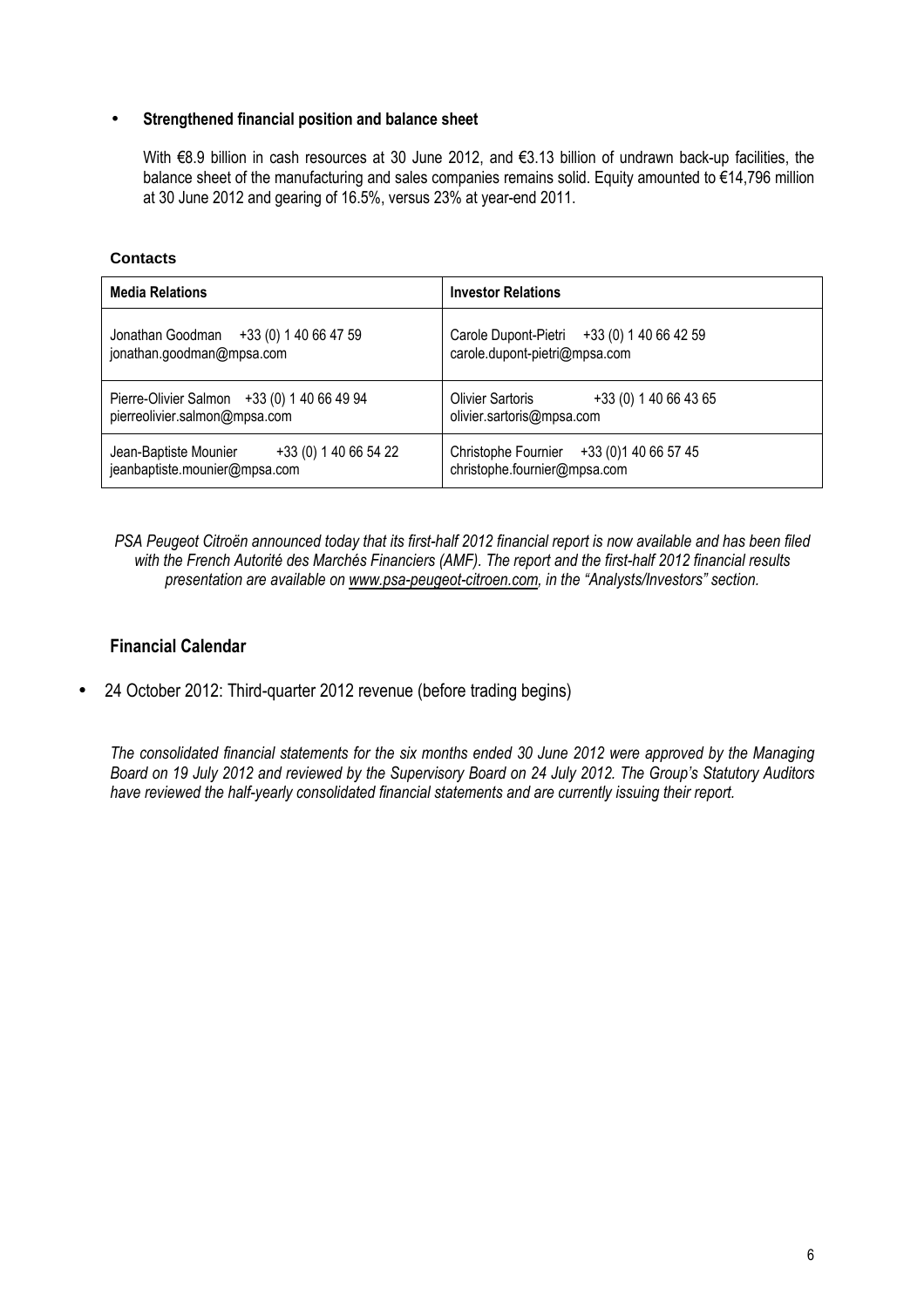#### • **Strengthened financial position and balance sheet**

With €8.9 billion in cash resources at 30 June 2012, and €3.13 billion of undrawn back-up facilities, the balance sheet of the manufacturing and sales companies remains solid. Equity amounted to €14,796 million at 30 June 2012 and gearing of 16.5%, versus 23% at year-end 2011.

**Contacts**

| <b>Media Relations</b>                                                          | <b>Investor Relations</b>                                                     |  |  |  |
|---------------------------------------------------------------------------------|-------------------------------------------------------------------------------|--|--|--|
| Jonathan Goodman +33 (0) 1 40 66 47 59<br>jonathan.goodman@mpsa.com             | Carole Dupont-Pietri +33 (0) 1 40 66 42 59<br>carole.dupont-pietri@mpsa.com   |  |  |  |
| Pierre-Olivier Salmon +33 (0) 1 40 66 49 94<br>pierreolivier.salmon@mpsa.com    | <b>Olivier Sartoris</b><br>+33 (0) 1 40 66 43 65<br>olivier.sartoris@mpsa.com |  |  |  |
| +33 (0) 1 40 66 54 22<br>Jean-Baptiste Mounier<br>jeanbaptiste.mounier@mpsa.com | Christophe Fournier +33 (0) 1 40 66 57 45<br>christophe.fournier@mpsa.com     |  |  |  |

*PSA Peugeot Citroën announced today that its first-half 2012 financial report is now available and has been filed with the French Autorité des Marchés Financiers (AMF). The report and the first-half 2012 financial results presentation are available on www.psa-peugeot-citroen.com, in the "Analysts/Investors" section.* 

# **Financial Calendar**

• 24 October 2012: Third-quarter 2012 revenue (before trading begins)

*The consolidated financial statements for the six months ended 30 June 2012 were approved by the Managing Board on 19 July 2012 and reviewed by the Supervisory Board on 24 July 2012. The Group's Statutory Auditors have reviewed the half-yearly consolidated financial statements and are currently issuing their report.*